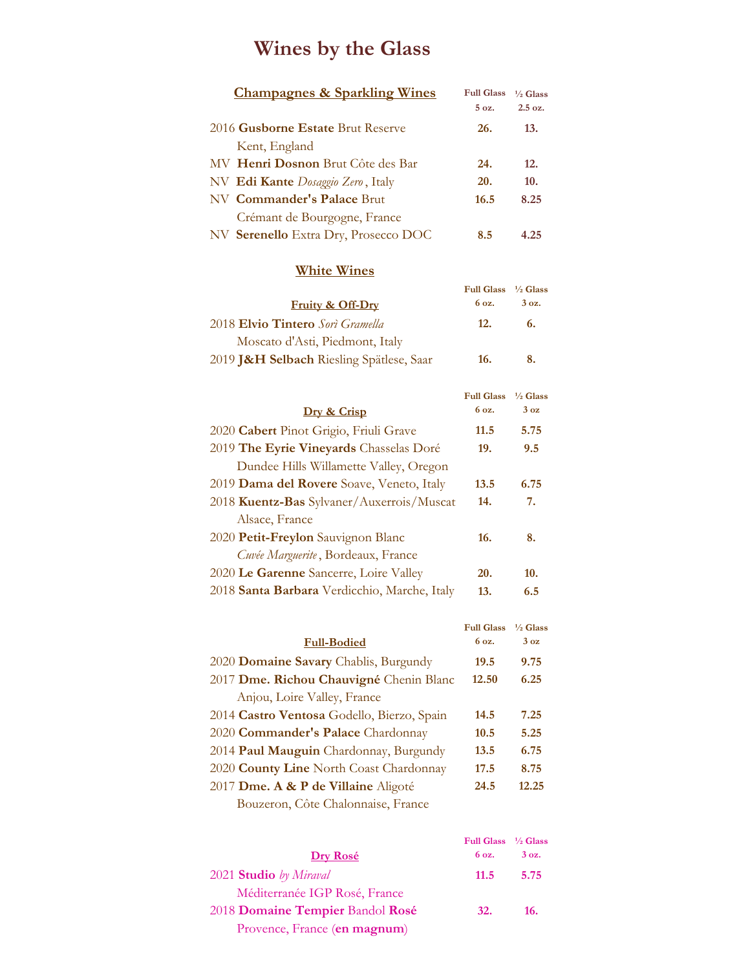# **Wines by the Glass**

| <b>Champagnes &amp; Sparkling Wines</b> | <b>Full Glass</b> | $\frac{1}{6}$ Glass |
|-----------------------------------------|-------------------|---------------------|
|                                         | 5 <sub>0</sub>    | $2.5 \text{ oz.}$   |
| 2016 Gusborne Estate Brut Reserve       | 26.               | 13.                 |
| Kent, England                           |                   |                     |
| MV Henri Dosnon Brut Côte des Bar       | 24.               | 12.                 |
| NV Edi Kante Dosaggio Zero, Italy       | <b>20.</b>        | 10.                 |
| NV Commander's Palace Brut              | 16.5              | 8.25                |
| Crémant de Bourgogne, France            |                   |                     |
| NV Serenello Extra Dry, Prosecco DOC    | 8.5               | 4.25                |

### **White Wines**

|                                          | Full Glass $\frac{1}{2}$ Glass |                 |
|------------------------------------------|--------------------------------|-----------------|
| <b>Fruity &amp; Off-Dry</b>              | 6 oz.                          | $3 \text{ oz.}$ |
| 2018 Elvio Tintero Sorì Gramella         | 12.                            | 6.              |
| Moscato d'Asti, Piedmont, Italy          |                                |                 |
| 2019 J&H Selbach Riesling Spätlese, Saar | 16.                            | 8.              |

|                                              | <b>Full Glass</b> | $\frac{1}{2}$ Glass |
|----------------------------------------------|-------------------|---------------------|
| Dry & Crisp                                  | 6 oz.             | 3 <sub>oz</sub>     |
| 2020 Cabert Pinot Grigio, Friuli Grave       | 11.5              | 5.75                |
| 2019 The Eyrie Vineyards Chasselas Doré      | 19.               | 9.5                 |
| Dundee Hills Willamette Valley, Oregon       |                   |                     |
| 2019 Dama del Rovere Soave, Veneto, Italy    | 13.5              | 6.75                |
| 2018 Kuentz-Bas Sylvaner/Auxerrois/Muscat    | 14.               | 7.                  |
| Alsace, France                               |                   |                     |
| 2020 Petit-Freylon Sauvignon Blanc           | 16.               | 8.                  |
| Cuvée Marguerite, Bordeaux, France           |                   |                     |
| 2020 Le Garenne Sancerre, Loire Valley       | 20.               | 10.                 |
| 2018 Santa Barbara Verdicchio, Marche, Italy | 13.               | 6.5                 |

|                                            | <b>Full Glass</b> | $\frac{1}{2}$ Glass |
|--------------------------------------------|-------------------|---------------------|
| <b>Full-Bodied</b>                         | 6 oz.             | 3 <sub>oz</sub>     |
| 2020 Domaine Savary Chablis, Burgundy      | 19.5              | 9.75                |
| 2017 Dme. Richou Chauvigné Chenin Blanc    | 12.50             | 6.25                |
| Anjou, Loire Valley, France                |                   |                     |
| 2014 Castro Ventosa Godello, Bierzo, Spain | 14.5              | 7.25                |
| 2020 Commander's Palace Chardonnay         | 10.5              | 5.25                |
| 2014 Paul Mauguin Chardonnay, Burgundy     | 13.5              | 6.75                |
| 2020 County Line North Coast Chardonnay    | 17.5              | 8.75                |
| 2017 Dme. A & P de Villaine Aligoté        | 24.5              | 12.25               |
| Bouzeron, Côte Chalonnaise, France         |                   |                     |

| Full Glass <sup>1</sup> /2 Glass |       |
|----------------------------------|-------|
| 6 oz.                            | 3 oz. |
| 11.5                             | 5.75  |
|                                  |       |
| <b>32.</b>                       | 16.   |
|                                  |       |
|                                  |       |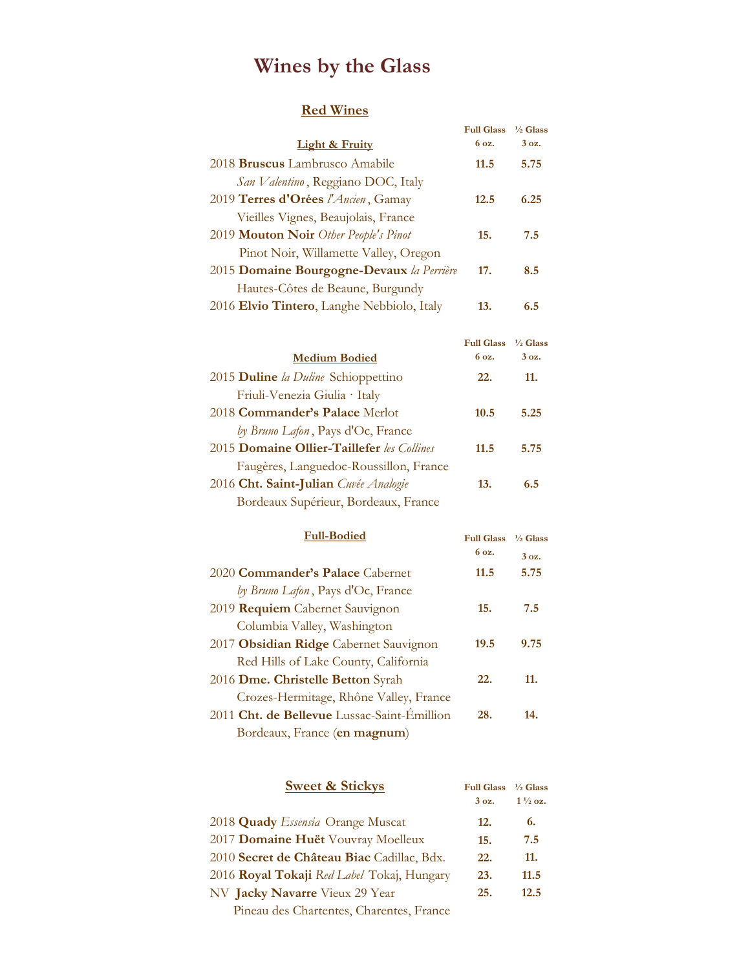# **Wines by the Glass**

### **Red Wines**

|                                            | <b>Full Glass</b> | $\frac{1}{2}$ Glass |
|--------------------------------------------|-------------------|---------------------|
| Light & Fruity                             | 6 oz.             | $3oz$ .             |
| 2018 Bruscus Lambrusco Amabile             | 11.5              | 5.75                |
| San Valentino, Reggiano DOC, Italy         |                   |                     |
| 2019 Terres d'Orées l'Ancien, Gamay        | 12.5              | 6.25                |
| Vieilles Vignes, Beaujolais, France        |                   |                     |
| 2019 Mouton Noir Other People's Pinot      | 15.               | 7.5                 |
| Pinot Noir, Willamette Valley, Oregon      |                   |                     |
| 2015 Domaine Bourgogne-Devaux la Perrière  | 17.               | 8.5                 |
| Hautes-Côtes de Beaune, Burgundy           |                   |                     |
| 2016 Elvio Tintero, Langhe Nebbiolo, Italy | 13.               | 6.5                 |

|                                            | Full Glass <sup>1</sup> /2 Glass |                  |
|--------------------------------------------|----------------------------------|------------------|
| <b>Medium Bodied</b>                       | 6 oz.                            | 3.0 <sub>z</sub> |
| 2015 Duline la Duline Schioppettino        | 22.                              | 11.              |
| Friuli-Venezia Giulia · Italy              |                                  |                  |
| 2018 Commander's Palace Merlot             | 10.5                             | 5.25             |
| by Bruno Lafon, Pays d'Oc, France          |                                  |                  |
| 2015 Domaine Ollier-Taillefer les Collines | 11.5                             | 5.75             |
| Faugères, Languedoc-Roussillon, France     |                                  |                  |
| 2016 Cht. Saint-Julian Cuvée Analogie      | 13.                              | 6.5              |
| Bordeaux Supérieur, Bordeaux, France       |                                  |                  |
|                                            |                                  |                  |

| <b>Full-Bodied</b>                          | <b>Full Glass</b> | $\frac{1}{6}$ Glass |
|---------------------------------------------|-------------------|---------------------|
|                                             | 6 oz.             | $3oz$ .             |
| 2020 Commander's Palace Cabernet            | 11.5              | 5.75                |
| by Bruno Lafon, Pays d'Oc, France           |                   |                     |
| 2019 Requiem Cabernet Sauvignon             | 15.               | 7.5                 |
| Columbia Valley, Washington                 |                   |                     |
| 2017 Obsidian Ridge Cabernet Sauvignon      | 19.5              | 9.75                |
| Red Hills of Lake County, California        |                   |                     |
| 2016 Dme. Christelle Betton Syrah           | 22.               | 11.                 |
| Crozes-Hermitage, Rhône Valley, France      |                   |                     |
| 2011 Cht. de Bellevue Lussac-Saint-Émillion | 28.               | 14.                 |
| Bordeaux, France (en magnum)                |                   |                     |
|                                             |                   |                     |

| <b>Sweet &amp; Stickys</b>                 | <b>Full Glass</b><br>3 oz. | $\frac{1}{2}$ Glass<br>$1\frac{1}{2}$ oz. |
|--------------------------------------------|----------------------------|-------------------------------------------|
| 2018 Quady Essensia Orange Muscat          | 12.                        | 6.                                        |
| 2017 Domaine Huët Vouvray Moelleux         | 15.                        | 7.5                                       |
| 2010 Secret de Château Biac Cadillac, Bdx. | 22.                        | 11.                                       |
| 2016 Royal Tokaji Red Label Tokaj, Hungary | 23.                        | 11.5                                      |
| NV Jacky Navarre Vieux 29 Year             | 25.                        | 12.5                                      |
| Pineau des Chartentes, Charentes, France   |                            |                                           |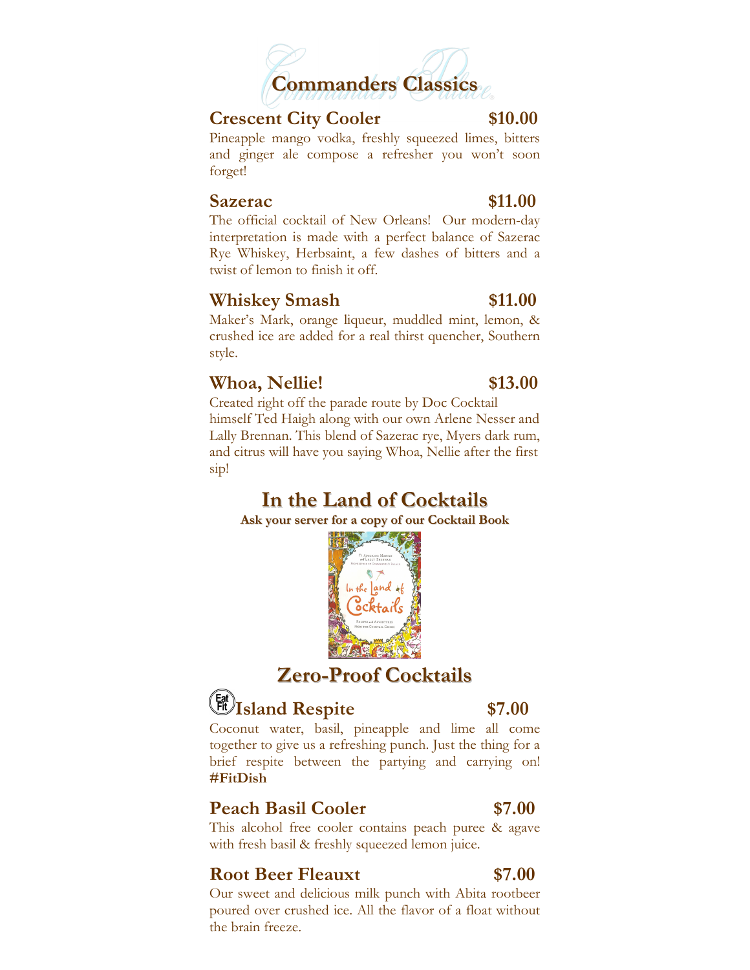

### **Crescent City Cooler \$10.00**

 Pineapple mango vodka, freshly squeezed limes, bitters and ginger ale compose a refresher you won't soon forget!

### **Sazerac** \$11.00

 interpretation is made with a perfect balance of Sazerac Rye Whiskey, Herbsaint, a few dashes of bitters and a twist of lemon to finish it off. The official cocktail of New Orleans! Our modern-day

## **Example 311.00 Whiskey Smash** \$11.00

 crushed ice are added for a real thirst quencher, Southern style. Maker's Mark, orange liqueur, muddled mint, lemon, &

## **Whoa, Nellie! \$13.00**

 Created right off the parade route by Doc Cocktail himself Ted Haigh along with our own Arlene Nesser and Lally Brennan. This blend of Sazerac rye, Myers dark rum, and citrus will have you saying Whoa, Nellie after the first sip!

# **In the Land of Cocktails In the Land of Cocktails**

**Ask your server for a copy of our Cocktail Book Ask your server for a copy of our Cocktail Book** 







 together to give us a refreshing punch. Just the thing for a brief respite between the partying and carrying on! Coconut water, basil, pineapple and lime all come **#FitDish** 

### **Peach Basil Cooler** \$7.00

 with fresh basil & freshly squeezed lemon juice. This alcohol free cooler contains peach puree & agave

## **Root Beer Fleauxt** \$7.00

 Our sweet and delicious milk punch with Abita rootbeer poured over crushed ice. All the flavor of a float without the brain freeze.